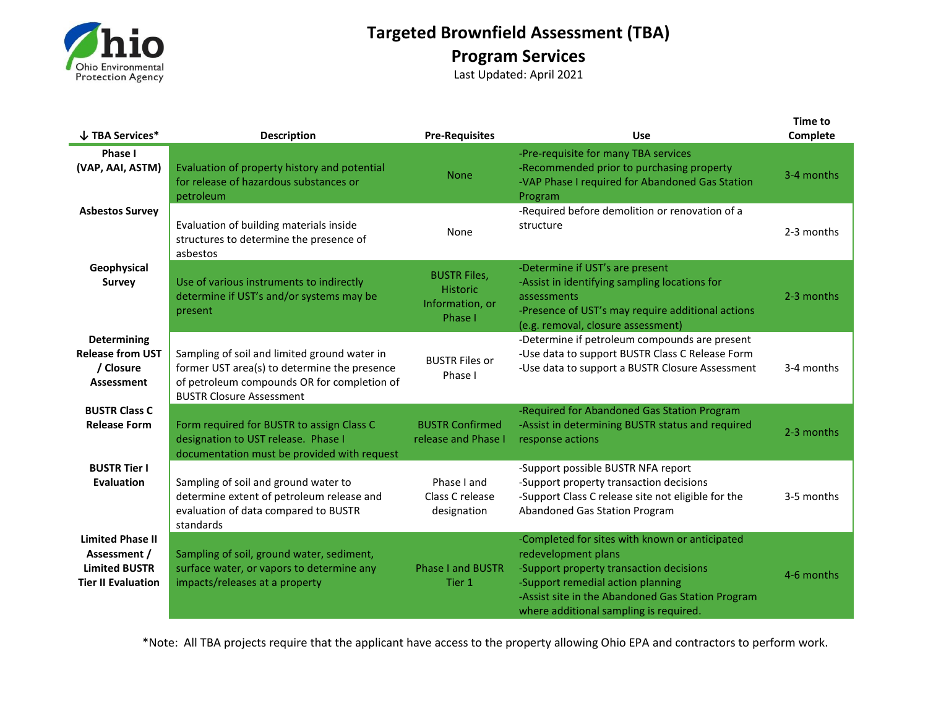

## **Targeted Brownfield Assessment (TBA) Program Services**

Last Updated: April 2021

| $\downarrow$ TBA Services*                                                                   | <b>Description</b>                                                                                                                                                             | <b>Pre-Requisites</b>                                                | <b>Use</b>                                                                                                                                                                                                                                           | <b>Time to</b><br>Complete |
|----------------------------------------------------------------------------------------------|--------------------------------------------------------------------------------------------------------------------------------------------------------------------------------|----------------------------------------------------------------------|------------------------------------------------------------------------------------------------------------------------------------------------------------------------------------------------------------------------------------------------------|----------------------------|
| Phase I<br>(VAP, AAI, ASTM)                                                                  | Evaluation of property history and potential<br>for release of hazardous substances or<br>petroleum                                                                            | <b>None</b>                                                          | -Pre-requisite for many TBA services<br>-Recommended prior to purchasing property<br>-VAP Phase I required for Abandoned Gas Station<br>Program                                                                                                      | 3-4 months                 |
| <b>Asbestos Survey</b>                                                                       | Evaluation of building materials inside<br>structures to determine the presence of<br>asbestos                                                                                 | None                                                                 | -Required before demolition or renovation of a<br>structure                                                                                                                                                                                          | 2-3 months                 |
| Geophysical<br><b>Survey</b>                                                                 | Use of various instruments to indirectly<br>determine if UST's and/or systems may be<br>present                                                                                | <b>BUSTR Files,</b><br><b>Historic</b><br>Information, or<br>Phase I | -Determine if UST's are present<br>-Assist in identifying sampling locations for<br>assessments<br>-Presence of UST's may require additional actions<br>(e.g. removal, closure assessment)                                                           | 2-3 months                 |
| Determining<br><b>Release from UST</b><br>/ Closure<br>Assessment                            | Sampling of soil and limited ground water in<br>former UST area(s) to determine the presence<br>of petroleum compounds OR for completion of<br><b>BUSTR Closure Assessment</b> | <b>BUSTR Files or</b><br>Phase I                                     | -Determine if petroleum compounds are present<br>-Use data to support BUSTR Class C Release Form<br>-Use data to support a BUSTR Closure Assessment                                                                                                  | 3-4 months                 |
| <b>BUSTR Class C</b><br><b>Release Form</b>                                                  | Form required for BUSTR to assign Class C<br>designation to UST release. Phase I<br>documentation must be provided with request                                                | <b>BUSTR Confirmed</b><br>release and Phase I                        | -Required for Abandoned Gas Station Program<br>-Assist in determining BUSTR status and required<br>response actions                                                                                                                                  | 2-3 months                 |
| <b>BUSTR Tier I</b><br><b>Evaluation</b>                                                     | Sampling of soil and ground water to<br>determine extent of petroleum release and<br>evaluation of data compared to BUSTR<br>standards                                         | Phase I and<br>Class C release<br>designation                        | -Support possible BUSTR NFA report<br>-Support property transaction decisions<br>-Support Class C release site not eligible for the<br>Abandoned Gas Station Program                                                                                 | 3-5 months                 |
| <b>Limited Phase II</b><br>Assessment /<br><b>Limited BUSTR</b><br><b>Tier II Evaluation</b> | Sampling of soil, ground water, sediment,<br>surface water, or vapors to determine any<br>impacts/releases at a property                                                       | <b>Phase I and BUSTR</b><br>Tier 1                                   | -Completed for sites with known or anticipated<br>redevelopment plans<br>-Support property transaction decisions<br>-Support remedial action planning<br>-Assist site in the Abandoned Gas Station Program<br>where additional sampling is required. | 4-6 months                 |

\*Note: All TBA projects require that the applicant have access to the property allowing Ohio EPA and contractors to perform work.